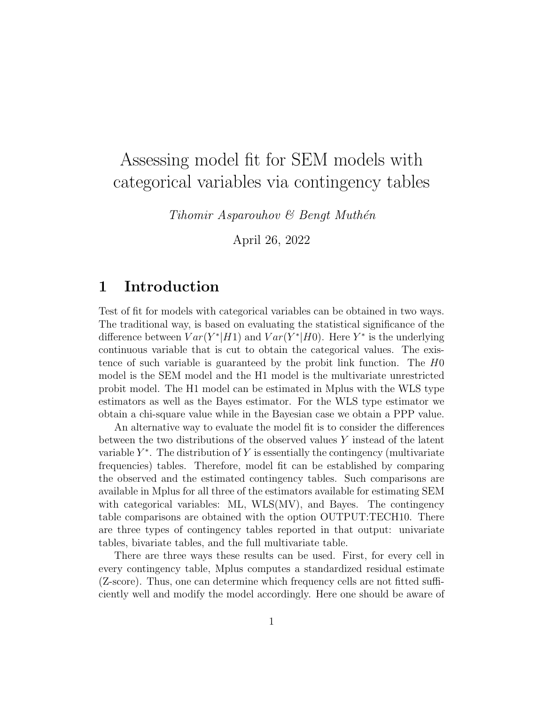# Assessing model fit for SEM models with categorical variables via contingency tables

 $Tihomir Asparouhov \& Bengt Muthén$ 

April 26, 2022

## 1 Introduction

Test of fit for models with categorical variables can be obtained in two ways. The traditional way, is based on evaluating the statistical significance of the difference between  $Var(Y^*|H1)$  and  $Var(Y^*|H0)$ . Here  $Y^*$  is the underlying continuous variable that is cut to obtain the categorical values. The existence of such variable is guaranteed by the probit link function. The H0 model is the SEM model and the H1 model is the multivariate unrestricted probit model. The H1 model can be estimated in Mplus with the WLS type estimators as well as the Bayes estimator. For the WLS type estimator we obtain a chi-square value while in the Bayesian case we obtain a PPP value.

An alternative way to evaluate the model fit is to consider the differences between the two distributions of the observed values Y instead of the latent variable  $Y^*$ . The distribution of Y is essentially the contingency (multivariate frequencies) tables. Therefore, model fit can be established by comparing the observed and the estimated contingency tables. Such comparisons are available in Mplus for all three of the estimators available for estimating SEM with categorical variables: ML, WLS(MV), and Bayes. The contingency table comparisons are obtained with the option OUTPUT:TECH10. There are three types of contingency tables reported in that output: univariate tables, bivariate tables, and the full multivariate table.

There are three ways these results can be used. First, for every cell in every contingency table, Mplus computes a standardized residual estimate (Z-score). Thus, one can determine which frequency cells are not fitted sufficiently well and modify the model accordingly. Here one should be aware of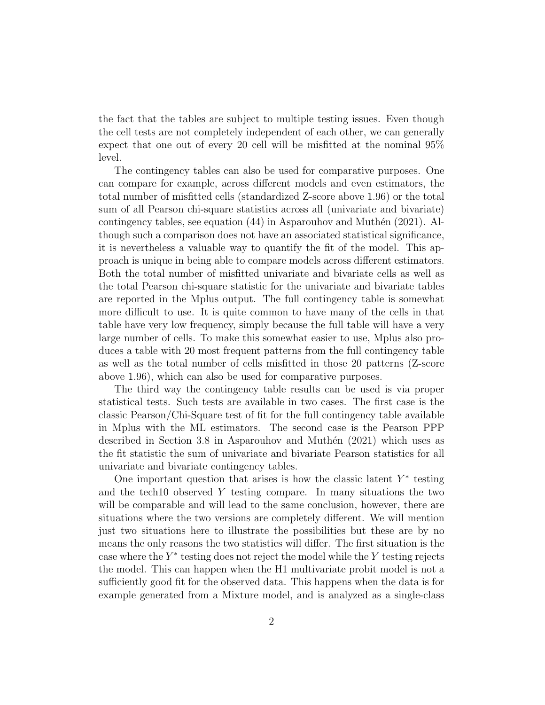the fact that the tables are subject to multiple testing issues. Even though the cell tests are not completely independent of each other, we can generally expect that one out of every 20 cell will be misfitted at the nominal 95% level.

The contingency tables can also be used for comparative purposes. One can compare for example, across different models and even estimators, the total number of misfitted cells (standardized Z-score above 1.96) or the total sum of all Pearson chi-square statistics across all (univariate and bivariate) contingency tables, see equation  $(44)$  in Asparouhov and Muthén  $(2021)$ . Although such a comparison does not have an associated statistical significance, it is nevertheless a valuable way to quantify the fit of the model. This approach is unique in being able to compare models across different estimators. Both the total number of misfitted univariate and bivariate cells as well as the total Pearson chi-square statistic for the univariate and bivariate tables are reported in the Mplus output. The full contingency table is somewhat more difficult to use. It is quite common to have many of the cells in that table have very low frequency, simply because the full table will have a very large number of cells. To make this somewhat easier to use, Mplus also produces a table with 20 most frequent patterns from the full contingency table as well as the total number of cells misfitted in those 20 patterns (Z-score above 1.96), which can also be used for comparative purposes.

The third way the contingency table results can be used is via proper statistical tests. Such tests are available in two cases. The first case is the classic Pearson/Chi-Square test of fit for the full contingency table available in Mplus with the ML estimators. The second case is the Pearson PPP described in Section 3.8 in Asparouhov and Muthén  $(2021)$  which uses as the fit statistic the sum of univariate and bivariate Pearson statistics for all univariate and bivariate contingency tables.

One important question that arises is how the classic latent  $Y^*$  testing and the tech<sup>10</sup> observed Y testing compare. In many situations the two will be comparable and will lead to the same conclusion, however, there are situations where the two versions are completely different. We will mention just two situations here to illustrate the possibilities but these are by no means the only reasons the two statistics will differ. The first situation is the case where the  $Y^*$  testing does not reject the model while the  $Y$  testing rejects the model. This can happen when the H1 multivariate probit model is not a sufficiently good fit for the observed data. This happens when the data is for example generated from a Mixture model, and is analyzed as a single-class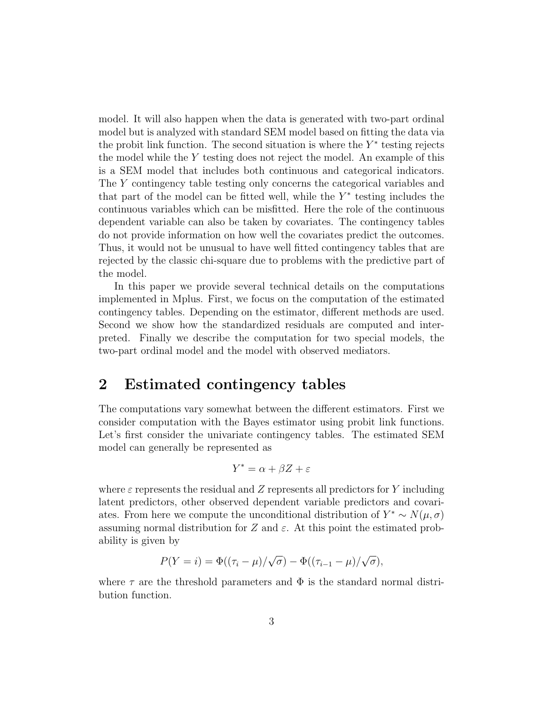model. It will also happen when the data is generated with two-part ordinal model but is analyzed with standard SEM model based on fitting the data via the probit link function. The second situation is where the  $Y^*$  testing rejects the model while the  $Y$  testing does not reject the model. An example of this is a SEM model that includes both continuous and categorical indicators. The Y contingency table testing only concerns the categorical variables and that part of the model can be fitted well, while the  $Y^*$  testing includes the continuous variables which can be misfitted. Here the role of the continuous dependent variable can also be taken by covariates. The contingency tables do not provide information on how well the covariates predict the outcomes. Thus, it would not be unusual to have well fitted contingency tables that are rejected by the classic chi-square due to problems with the predictive part of the model.

In this paper we provide several technical details on the computations implemented in Mplus. First, we focus on the computation of the estimated contingency tables. Depending on the estimator, different methods are used. Second we show how the standardized residuals are computed and interpreted. Finally we describe the computation for two special models, the two-part ordinal model and the model with observed mediators.

## 2 Estimated contingency tables

The computations vary somewhat between the different estimators. First we consider computation with the Bayes estimator using probit link functions. Let's first consider the univariate contingency tables. The estimated SEM model can generally be represented as

$$
Y^* = \alpha + \beta Z + \varepsilon
$$

where  $\varepsilon$  represents the residual and Z represents all predictors for Y including latent predictors, other observed dependent variable predictors and covariates. From here we compute the unconditional distribution of  $Y^* \sim N(\mu, \sigma)$ assuming normal distribution for Z and  $\varepsilon$ . At this point the estimated probability is given by

$$
P(Y = i) = \Phi((\tau_i - \mu)/\sqrt{\sigma}) - \Phi((\tau_{i-1} - \mu)/\sqrt{\sigma}),
$$

where  $\tau$  are the threshold parameters and  $\Phi$  is the standard normal distribution function.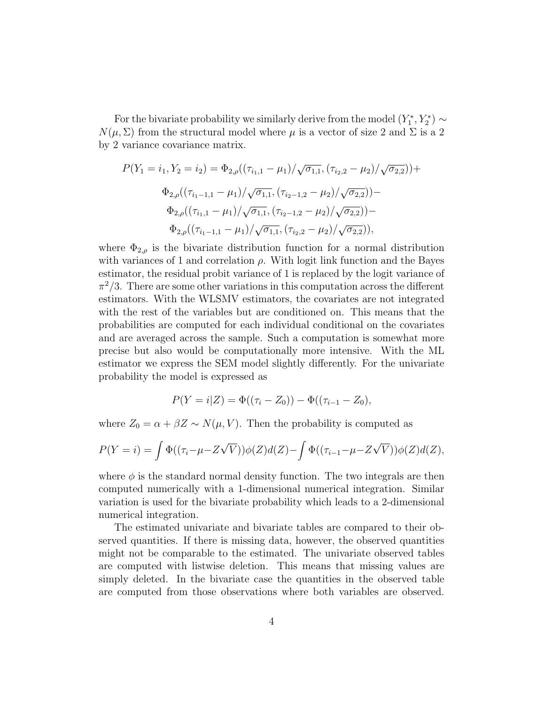For the bivariate probability we similarly derive from the model  $(Y_1^*, Y_2^*) \sim$  $N(\mu, \Sigma)$  from the structural model where  $\mu$  is a vector of size 2 and  $\Sigma$  is a 2 by 2 variance covariance matrix.

$$
P(Y_1 = i_1, Y_2 = i_2) = \Phi_{2,\rho}((\tau_{i_1,1} - \mu_1)/\sqrt{\sigma_{1,1}}, (\tau_{i_2,2} - \mu_2)/\sqrt{\sigma_{2,2}})) +
$$
  
\n
$$
\Phi_{2,\rho}((\tau_{i_1-1,1} - \mu_1)/\sqrt{\sigma_{1,1}}, (\tau_{i_2-1,2} - \mu_2)/\sqrt{\sigma_{2,2}})) -
$$
  
\n
$$
\Phi_{2,\rho}((\tau_{i_1,1} - \mu_1)/\sqrt{\sigma_{1,1}}, (\tau_{i_2-1,2} - \mu_2)/\sqrt{\sigma_{2,2}})) -
$$
  
\n
$$
\Phi_{2,\rho}((\tau_{i_1-1,1} - \mu_1)/\sqrt{\sigma_{1,1}}, (\tau_{i_2,2} - \mu_2)/\sqrt{\sigma_{2,2}})),
$$

where  $\Phi_{2,\rho}$  is the bivariate distribution function for a normal distribution with variances of 1 and correlation  $\rho$ . With logit link function and the Bayes estimator, the residual probit variance of 1 is replaced by the logit variance of  $\pi^2/3$ . There are some other variations in this computation across the different estimators. With the WLSMV estimators, the covariates are not integrated with the rest of the variables but are conditioned on. This means that the probabilities are computed for each individual conditional on the covariates and are averaged across the sample. Such a computation is somewhat more precise but also would be computationally more intensive. With the ML estimator we express the SEM model slightly differently. For the univariate probability the model is expressed as

$$
P(Y = i|Z) = \Phi((\tau_i - Z_0)) - \Phi((\tau_{i-1} - Z_0),
$$

where  $Z_0 = \alpha + \beta Z \sim N(\mu, V)$ . Then the probability is computed as

$$
P(Y = i) = \int \Phi((\tau_i - \mu - Z\sqrt{V}))\phi(Z)d(Z) - \int \Phi((\tau_{i-1} - \mu - Z\sqrt{V}))\phi(Z)d(Z),
$$

where  $\phi$  is the standard normal density function. The two integrals are then computed numerically with a 1-dimensional numerical integration. Similar variation is used for the bivariate probability which leads to a 2-dimensional numerical integration.

The estimated univariate and bivariate tables are compared to their observed quantities. If there is missing data, however, the observed quantities might not be comparable to the estimated. The univariate observed tables are computed with listwise deletion. This means that missing values are simply deleted. In the bivariate case the quantities in the observed table are computed from those observations where both variables are observed.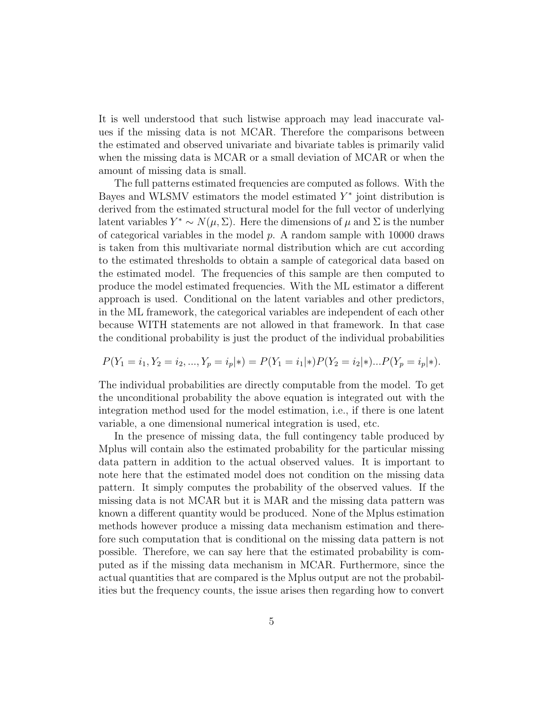It is well understood that such listwise approach may lead inaccurate values if the missing data is not MCAR. Therefore the comparisons between the estimated and observed univariate and bivariate tables is primarily valid when the missing data is MCAR or a small deviation of MCAR or when the amount of missing data is small.

The full patterns estimated frequencies are computed as follows. With the Bayes and WLSMV estimators the model estimated  $Y^*$  joint distribution is derived from the estimated structural model for the full vector of underlying latent variables  $Y^* \sim N(\mu, \Sigma)$ . Here the dimensions of  $\mu$  and  $\Sigma$  is the number of categorical variables in the model  $p$ . A random sample with 10000 draws is taken from this multivariate normal distribution which are cut according to the estimated thresholds to obtain a sample of categorical data based on the estimated model. The frequencies of this sample are then computed to produce the model estimated frequencies. With the ML estimator a different approach is used. Conditional on the latent variables and other predictors, in the ML framework, the categorical variables are independent of each other because WITH statements are not allowed in that framework. In that case the conditional probability is just the product of the individual probabilities

$$
P(Y_1 = i_1, Y_2 = i_2, ..., Y_p = i_p | *) = P(Y_1 = i_1 | *) P(Y_2 = i_2 | *) ... P(Y_p = i_p | *).
$$

The individual probabilities are directly computable from the model. To get the unconditional probability the above equation is integrated out with the integration method used for the model estimation, i.e., if there is one latent variable, a one dimensional numerical integration is used, etc.

In the presence of missing data, the full contingency table produced by Mplus will contain also the estimated probability for the particular missing data pattern in addition to the actual observed values. It is important to note here that the estimated model does not condition on the missing data pattern. It simply computes the probability of the observed values. If the missing data is not MCAR but it is MAR and the missing data pattern was known a different quantity would be produced. None of the Mplus estimation methods however produce a missing data mechanism estimation and therefore such computation that is conditional on the missing data pattern is not possible. Therefore, we can say here that the estimated probability is computed as if the missing data mechanism in MCAR. Furthermore, since the actual quantities that are compared is the Mplus output are not the probabilities but the frequency counts, the issue arises then regarding how to convert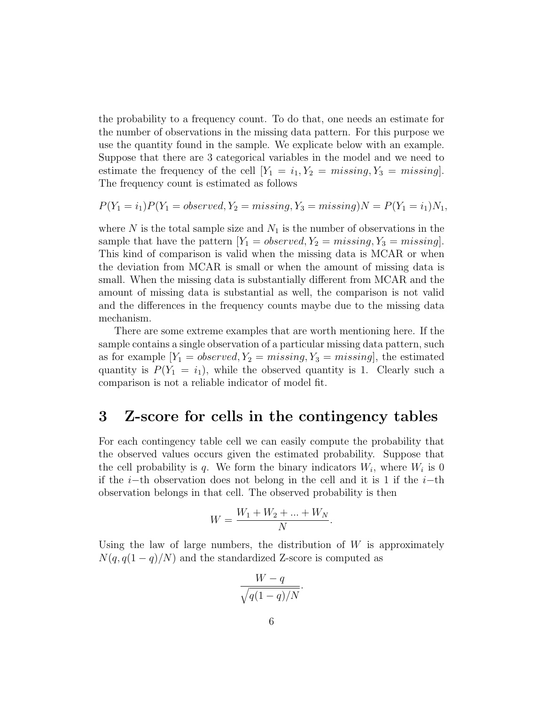the probability to a frequency count. To do that, one needs an estimate for the number of observations in the missing data pattern. For this purpose we use the quantity found in the sample. We explicate below with an example. Suppose that there are 3 categorical variables in the model and we need to estimate the frequency of the cell  $[Y_1 = i_1, Y_2 = missing, Y_3 = missing]$ . The frequency count is estimated as follows

$$
P(Y_1 = i_1)P(Y_1 = observed, Y_2 = missing, Y_3 = missing)N = P(Y_1 = i_1)N_1,
$$

where  $N$  is the total sample size and  $N_1$  is the number of observations in the sample that have the pattern  $[Y_1 = observed, Y_2 = missing, Y_3 = missing].$ This kind of comparison is valid when the missing data is MCAR or when the deviation from MCAR is small or when the amount of missing data is small. When the missing data is substantially different from MCAR and the amount of missing data is substantial as well, the comparison is not valid and the differences in the frequency counts maybe due to the missing data mechanism.

There are some extreme examples that are worth mentioning here. If the sample contains a single observation of a particular missing data pattern, such as for example  $[Y_1 = observed, Y_2 = missing, Y_3 = missing]$ , the estimated quantity is  $P(Y_1 = i_1)$ , while the observed quantity is 1. Clearly such a comparison is not a reliable indicator of model fit.

#### 3 Z-score for cells in the contingency tables

For each contingency table cell we can easily compute the probability that the observed values occurs given the estimated probability. Suppose that the cell probability is q. We form the binary indicators  $W_i$ , where  $W_i$  is 0 if the i−th observation does not belong in the cell and it is 1 if the i−th observation belongs in that cell. The observed probability is then

$$
W = \frac{W_1 + W_2 + \dots + W_N}{N}.
$$

Using the law of large numbers, the distribution of  $W$  is approximately  $N(q, q(1-q)/N)$  and the standardized Z-score is computed as

$$
\frac{W-q}{\sqrt{q(1-q)/N}}.
$$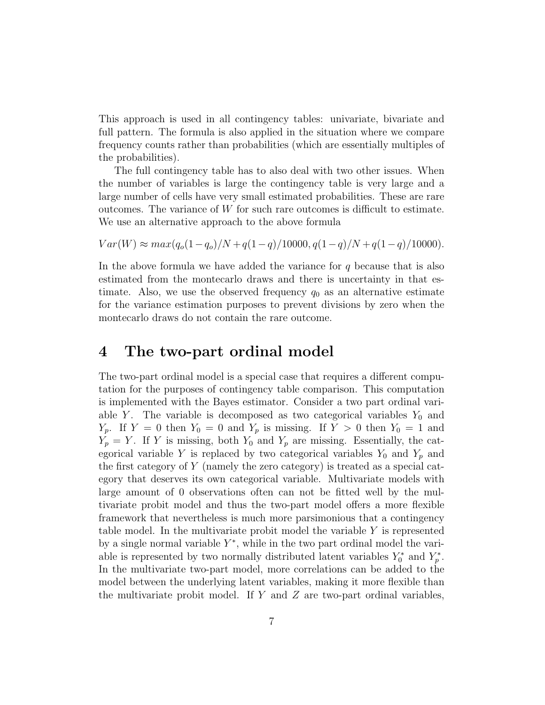This approach is used in all contingency tables: univariate, bivariate and full pattern. The formula is also applied in the situation where we compare frequency counts rather than probabilities (which are essentially multiples of the probabilities).

The full contingency table has to also deal with two other issues. When the number of variables is large the contingency table is very large and a large number of cells have very small estimated probabilities. These are rare outcomes. The variance of  $W$  for such rare outcomes is difficult to estimate. We use an alternative approach to the above formula

$$
Var(W) \approx max(q_o(1-q_o)/N + q(1-q)/10000, q(1-q)/N + q(1-q)/10000).
$$

In the above formula we have added the variance for  $q$  because that is also estimated from the montecarlo draws and there is uncertainty in that estimate. Also, we use the observed frequency  $q_0$  as an alternative estimate for the variance estimation purposes to prevent divisions by zero when the montecarlo draws do not contain the rare outcome.

### 4 The two-part ordinal model

The two-part ordinal model is a special case that requires a different computation for the purposes of contingency table comparison. This computation is implemented with the Bayes estimator. Consider a two part ordinal variable Y. The variable is decomposed as two categorical variables  $Y_0$  and  $Y_p$ . If  $Y = 0$  then  $Y_0 = 0$  and  $Y_p$  is missing. If  $Y > 0$  then  $Y_0 = 1$  and  $Y_p = Y$ . If Y is missing, both  $Y_0$  and  $Y_p$  are missing. Essentially, the categorical variable Y is replaced by two categorical variables  $Y_0$  and  $Y_p$  and the first category of Y (namely the zero category) is treated as a special category that deserves its own categorical variable. Multivariate models with large amount of 0 observations often can not be fitted well by the multivariate probit model and thus the two-part model offers a more flexible framework that nevertheless is much more parsimonious that a contingency table model. In the multivariate probit model the variable Y is represented by a single normal variable  $Y^*$ , while in the two part ordinal model the variable is represented by two normally distributed latent variables  $Y_0^*$  and  $Y_p^*$ . In the multivariate two-part model, more correlations can be added to the model between the underlying latent variables, making it more flexible than the multivariate probit model. If  $Y$  and  $Z$  are two-part ordinal variables,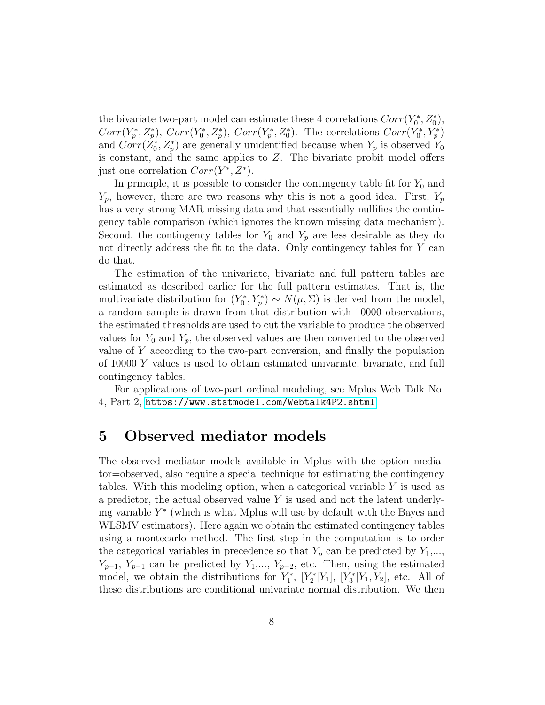the bivariate two-part model can estimate these 4 correlations  $Corr(Y_0^*, Z_0^*),$  $Corr(Y_p^*, Z_p^*)$ ,  $Corr(Y_0^*, Z_p^*)$ ,  $Corr(Y_p^*, Z_0^*)$ . The correlations  $Corr(Y_0^*, Y_p^*)$ and  $Corr(\dot{Z}_0^*, Z_p^*)$  are generally unidentified because when  $Y_p$  is observed  $Y_0$ is constant, and the same applies to Z. The bivariate probit model offers just one correlation  $Corr(Y^*, Z^*)$ .

In principle, it is possible to consider the contingency table fit for  $Y_0$  and  $Y_p$ , however, there are two reasons why this is not a good idea. First,  $Y_p$ has a very strong MAR missing data and that essentially nullifies the contingency table comparison (which ignores the known missing data mechanism). Second, the contingency tables for  $Y_0$  and  $Y_p$  are less desirable as they do not directly address the fit to the data. Only contingency tables for Y can do that.

The estimation of the univariate, bivariate and full pattern tables are estimated as described earlier for the full pattern estimates. That is, the multivariate distribution for  $(Y_0^*, Y_p^*) \sim N(\mu, \Sigma)$  is derived from the model, a random sample is drawn from that distribution with 10000 observations, the estimated thresholds are used to cut the variable to produce the observed values for  $Y_0$  and  $Y_p$ , the observed values are then converted to the observed value of Y according to the two-part conversion, and finally the population of 10000 Y values is used to obtain estimated univariate, bivariate, and full contingency tables.

For applications of two-part ordinal modeling, see Mplus Web Talk No. 4, Part 2, <https://www.statmodel.com/Webtalk4P2.shtml>.

## 5 Observed mediator models

The observed mediator models available in Mplus with the option mediator=observed, also require a special technique for estimating the contingency tables. With this modeling option, when a categorical variable  $Y$  is used as a predictor, the actual observed value Y is used and not the latent underlying variable  $Y^*$  (which is what Mplus will use by default with the Bayes and WLSMV estimators). Here again we obtain the estimated contingency tables using a montecarlo method. The first step in the computation is to order the categorical variables in precedence so that  $Y_p$  can be predicted by  $Y_1, \ldots, Y_p$  $Y_{p-1}$ ,  $Y_{p-1}$  can be predicted by  $Y_1, ..., Y_{p-2}$ , etc. Then, using the estimated model, we obtain the distributions for  $Y_1^*$ ,  $[Y_2^*|Y_1]$ ,  $[Y_3^*|Y_1, Y_2]$ , etc. All of these distributions are conditional univariate normal distribution. We then